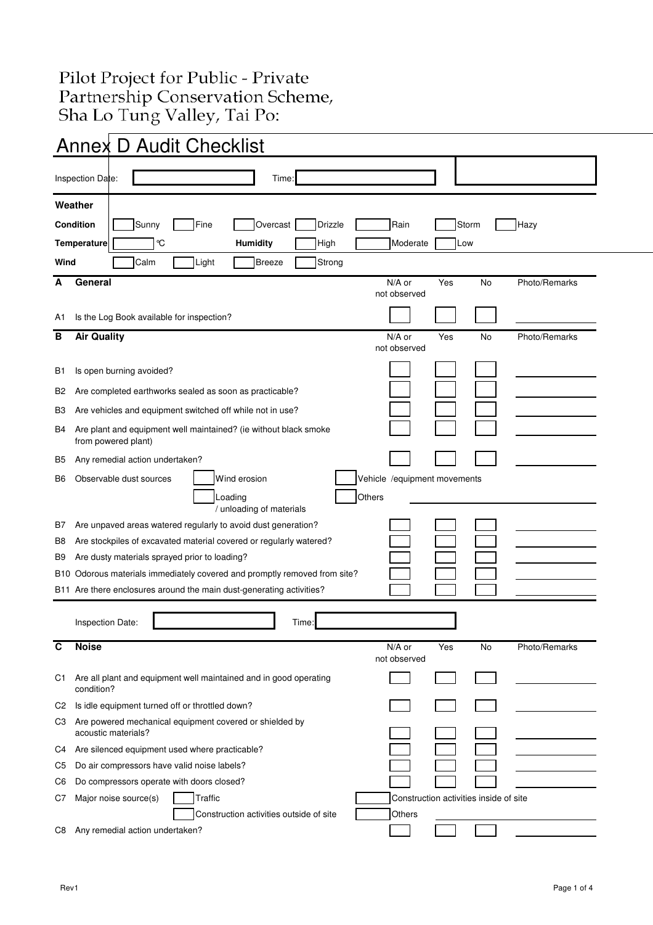## Pilot Project for Public - Private Partnership Conservation Scheme,<br>Sha Lo Tung Valley, Tai Po:

|                | <b>Annex D Audit Checklist</b>                                                          |                                                         |     |       |               |  |
|----------------|-----------------------------------------------------------------------------------------|---------------------------------------------------------|-----|-------|---------------|--|
|                | Inspection Date:<br>Time:                                                               |                                                         |     |       |               |  |
|                | Weather                                                                                 |                                                         |     |       |               |  |
|                | <b>Condition</b><br>Overcast<br>Sunny<br>Fine<br><b>Drizzle</b>                         | Rain                                                    |     | Storm | Hazy          |  |
|                | $\mathrm{C}$<br><b>Humidity</b><br>High<br>Temperature                                  | Moderate                                                | Low |       |               |  |
| Wind           | Breeze<br>Calm<br>Light<br>Strong                                                       |                                                         |     |       |               |  |
| А              | General                                                                                 | N/A or                                                  | Yes | No    | Photo/Remarks |  |
|                |                                                                                         | not observed                                            |     |       |               |  |
| A1             | Is the Log Book available for inspection?                                               |                                                         |     |       |               |  |
| В              | <b>Air Quality</b>                                                                      | $N/A$ or<br>not observed                                | Yes | No    | Photo/Remarks |  |
| B1             | Is open burning avoided?                                                                |                                                         |     |       |               |  |
| B2             | Are completed earthworks sealed as soon as practicable?                                 |                                                         |     |       |               |  |
| B3             | Are vehicles and equipment switched off while not in use?                               |                                                         |     |       |               |  |
| B4             | Are plant and equipment well maintained? (ie without black smoke<br>from powered plant) |                                                         |     |       |               |  |
| B5             | Any remedial action undertaken?                                                         |                                                         |     |       |               |  |
| B6             | Wind erosion<br>Observable dust sources                                                 | Vehicle /equipment movements                            |     |       |               |  |
|                | Loading<br>/ unloading of materials                                                     | Others                                                  |     |       |               |  |
| В7             | Are unpaved areas watered regularly to avoid dust generation?                           |                                                         |     |       |               |  |
| В8             | Are stockpiles of excavated material covered or regularly watered?                      |                                                         |     |       |               |  |
| B9             | Are dusty materials sprayed prior to loading?                                           |                                                         |     |       |               |  |
| B10            | Odorous materials immediately covered and promptly removed from site?                   |                                                         |     |       |               |  |
|                | B11 Are there enclosures around the main dust-generating activities?                    |                                                         |     |       |               |  |
|                | Inspection Date:<br>Time:                                                               |                                                         |     |       |               |  |
| С              | <b>Noise</b>                                                                            | N/A or<br>not observed                                  | Yes | No    | Photo/Remarks |  |
| C1             | Are all plant and equipment well maintained and in good operating<br>condition?         |                                                         |     |       |               |  |
| C <sub>2</sub> | Is idle equipment turned off or throttled down?                                         |                                                         |     |       |               |  |
| CЗ             | Are powered mechanical equipment covered or shielded by<br>acoustic materials?          |                                                         |     |       |               |  |
| C4             | Are silenced equipment used where practicable?                                          |                                                         |     |       |               |  |
| C5             | Do air compressors have valid noise labels?                                             |                                                         |     |       |               |  |
| C6             | Do compressors operate with doors closed?                                               |                                                         |     |       |               |  |
| C7             | Major noise source(s)<br>Traffic<br>Construction activities outside of site             | Construction activities inside of site<br><b>Others</b> |     |       |               |  |
| C8             | Any remedial action undertaken?                                                         |                                                         |     |       |               |  |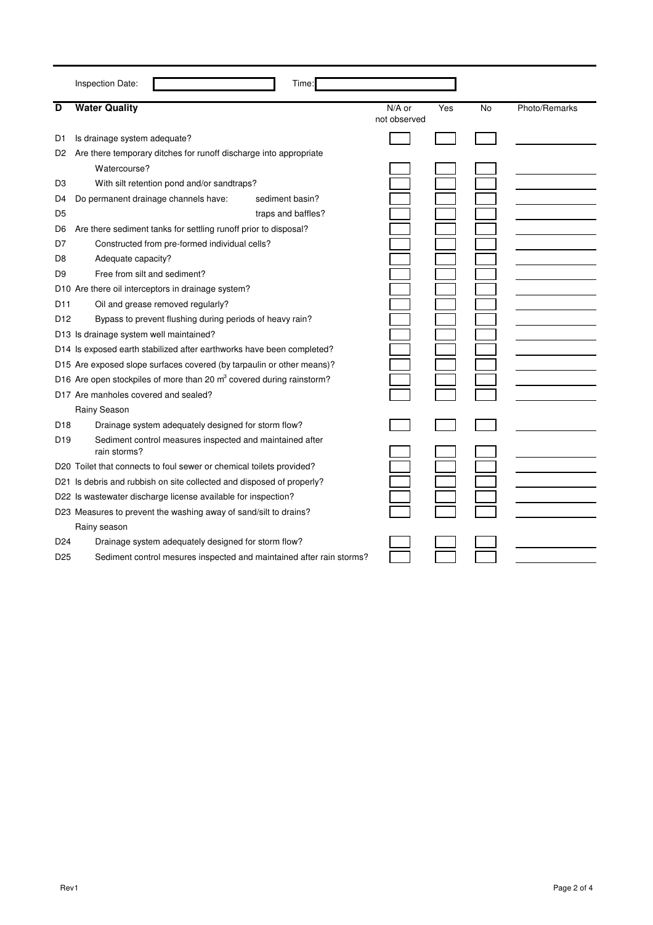|                 | Inspection Date:                                                                 | Time:              |              |     |    |               |
|-----------------|----------------------------------------------------------------------------------|--------------------|--------------|-----|----|---------------|
| D               | <b>Water Quality</b>                                                             |                    | $N/A$ or     | Yes | No | Photo/Remarks |
|                 |                                                                                  |                    | not observed |     |    |               |
| D1              | Is drainage system adequate?                                                     |                    |              |     |    |               |
| D <sub>2</sub>  | Are there temporary ditches for runoff discharge into appropriate                |                    |              |     |    |               |
|                 | Watercourse?                                                                     |                    |              |     |    |               |
| D3              | With silt retention pond and/or sandtraps?                                       |                    |              |     |    |               |
| D4              | Do permanent drainage channels have:                                             | sediment basin?    |              |     |    |               |
| D5              |                                                                                  | traps and baffles? |              |     |    |               |
| D6              | Are there sediment tanks for settling runoff prior to disposal?                  |                    |              |     |    |               |
| D7              | Constructed from pre-formed individual cells?                                    |                    |              |     |    |               |
| D8              | Adequate capacity?                                                               |                    |              |     |    |               |
| D9              | Free from silt and sediment?                                                     |                    |              |     |    |               |
|                 | D10 Are there oil interceptors in drainage system?                               |                    |              |     |    |               |
| D11             | Oil and grease removed regularly?                                                |                    |              |     |    |               |
| D <sub>12</sub> | Bypass to prevent flushing during periods of heavy rain?                         |                    |              |     |    |               |
|                 | D13 Is drainage system well maintained?                                          |                    |              |     |    |               |
|                 | D14 Is exposed earth stabilized after earthworks have been completed?            |                    |              |     |    |               |
|                 | D15 Are exposed slope surfaces covered (by tarpaulin or other means)?            |                    |              |     |    |               |
|                 | D16 Are open stockpiles of more than 20 m <sup>3</sup> covered during rainstorm? |                    |              |     |    |               |
|                 | D17 Are manholes covered and sealed?                                             |                    |              |     |    |               |
|                 | Rainy Season                                                                     |                    |              |     |    |               |
| D <sub>18</sub> | Drainage system adequately designed for storm flow?                              |                    |              |     |    |               |
| D <sub>19</sub> | Sediment control measures inspected and maintained after<br>rain storms?         |                    |              |     |    |               |
|                 | D20 Toilet that connects to foul sewer or chemical toilets provided?             |                    |              |     |    |               |
|                 | D21 Is debris and rubbish on site collected and disposed of properly?            |                    |              |     |    |               |
|                 | D22 Is wastewater discharge license available for inspection?                    |                    |              |     |    |               |
|                 | D23 Measures to prevent the washing away of sand/silt to drains?                 |                    |              |     |    |               |
|                 | Rainy season                                                                     |                    |              |     |    |               |
| D <sub>24</sub> | Drainage system adequately designed for storm flow?                              |                    |              |     |    |               |
| D <sub>25</sub> | Sediment control mesures inspected and maintained after rain storms?             |                    |              |     |    |               |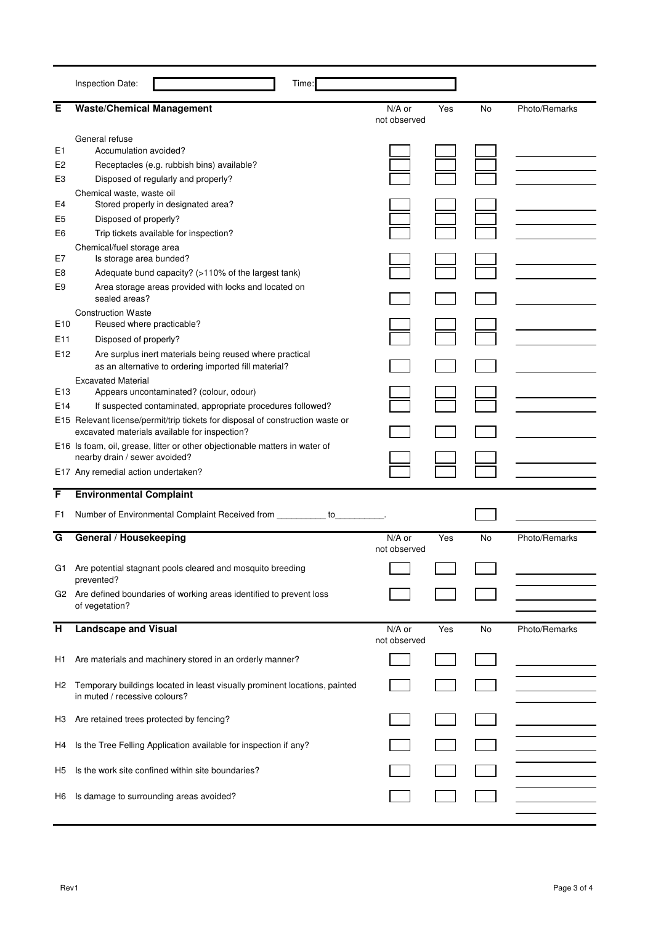|                                                                                                                  | Inspection Date:<br>Time:                                                                                                                                                                                                                                                                                                                                                                                                                                                                                                                          |                        |     |    |               |
|------------------------------------------------------------------------------------------------------------------|----------------------------------------------------------------------------------------------------------------------------------------------------------------------------------------------------------------------------------------------------------------------------------------------------------------------------------------------------------------------------------------------------------------------------------------------------------------------------------------------------------------------------------------------------|------------------------|-----|----|---------------|
| Е                                                                                                                | <b>Waste/Chemical Management</b>                                                                                                                                                                                                                                                                                                                                                                                                                                                                                                                   | N/A or<br>not observed | Yes | No | Photo/Remarks |
| E <sub>1</sub><br>E <sub>2</sub><br>E3<br>E4<br>E5<br>E6<br>E7<br>E8<br>E <sub>9</sub><br>E <sub>10</sub><br>E11 | General refuse<br>Accumulation avoided?<br>Receptacles (e.g. rubbish bins) available?<br>Disposed of regularly and properly?<br>Chemical waste, waste oil<br>Stored properly in designated area?<br>Disposed of properly?<br>Trip tickets available for inspection?<br>Chemical/fuel storage area<br>Is storage area bunded?<br>Adequate bund capacity? (>110% of the largest tank)<br>Area storage areas provided with locks and located on<br>sealed areas?<br><b>Construction Waste</b><br>Reused where practicable?<br>Disposed of properly?   |                        |     |    |               |
| E <sub>12</sub><br>E <sub>13</sub><br>E <sub>14</sub>                                                            | Are surplus inert materials being reused where practical<br>as an alternative to ordering imported fill material?<br><b>Excavated Material</b><br>Appears uncontaminated? (colour, odour)<br>If suspected contaminated, appropriate procedures followed?<br>E15 Relevant license/permit/trip tickets for disposal of construction waste or<br>excavated materials available for inspection?<br>E16 Is foam, oil, grease, litter or other objectionable matters in water of<br>nearby drain / sewer avoided?<br>E17 Any remedial action undertaken? |                        |     |    |               |
| F                                                                                                                | <b>Environmental Complaint</b>                                                                                                                                                                                                                                                                                                                                                                                                                                                                                                                     |                        |     |    |               |
| F1                                                                                                               | Number of Environmental Complaint Received from __________<br>to                                                                                                                                                                                                                                                                                                                                                                                                                                                                                   |                        |     |    |               |
| G<br>G1                                                                                                          | General / Housekeeping<br>Are potential stagnant pools cleared and mosquito breeding                                                                                                                                                                                                                                                                                                                                                                                                                                                               | N/A or<br>not observed | Yes | No | Photo/Remarks |
|                                                                                                                  | prevented?<br>G2 Are defined boundaries of working areas identified to prevent loss<br>of vegetation?                                                                                                                                                                                                                                                                                                                                                                                                                                              |                        |     |    |               |
| $\overline{H}$                                                                                                   | <b>Landscape and Visual</b>                                                                                                                                                                                                                                                                                                                                                                                                                                                                                                                        | N/A or<br>not observed | Yes | No | Photo/Remarks |
| H1<br>H <sub>2</sub>                                                                                             | Are materials and machinery stored in an orderly manner?<br>Temporary buildings located in least visually prominent locations, painted<br>in muted / recessive colours?                                                                                                                                                                                                                                                                                                                                                                            |                        |     |    |               |
| H3<br>H4                                                                                                         | Are retained trees protected by fencing?<br>Is the Tree Felling Application available for inspection if any?                                                                                                                                                                                                                                                                                                                                                                                                                                       |                        |     |    |               |
| H5<br>H6                                                                                                         | Is the work site confined within site boundaries?<br>Is damage to surrounding areas avoided?                                                                                                                                                                                                                                                                                                                                                                                                                                                       |                        |     |    |               |